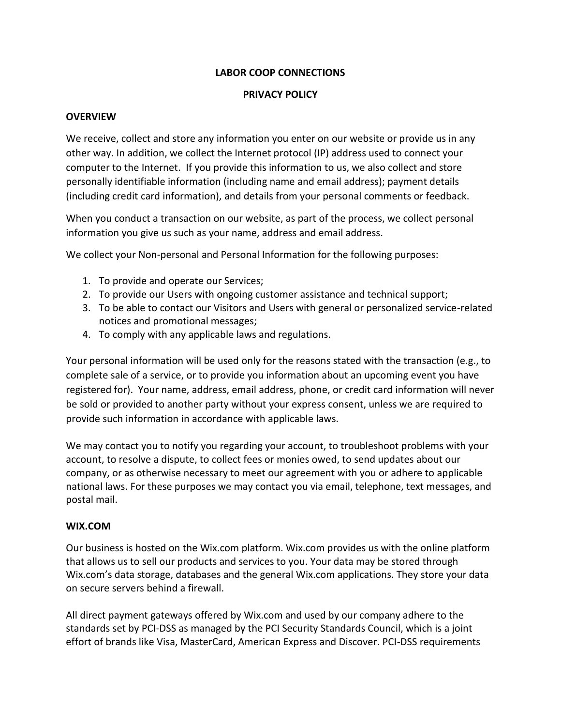# **LABOR COOP CONNECTIONS**

#### **PRIVACY POLICY**

#### **OVERVIEW**

We receive, collect and store any information you enter on our website or provide us in any other way. In addition, we collect the Internet protocol (IP) address used to connect your computer to the Internet. If you provide this information to us, we also collect and store personally identifiable information (including name and email address); payment details (including credit card information), and details from your personal comments or feedback.

When you conduct a transaction on our website, as part of the process, we collect personal information you give us such as your name, address and email address.

We collect your Non-personal and Personal Information for the following purposes:

- 1. To provide and operate our Services;
- 2. To provide our Users with ongoing customer assistance and technical support;
- 3. To be able to contact our Visitors and Users with general or personalized service-related notices and promotional messages;
- 4. To comply with any applicable laws and regulations.

Your personal information will be used only for the reasons stated with the transaction (e.g., to complete sale of a service, or to provide you information about an upcoming event you have registered for). Your name, address, email address, phone, or credit card information will never be sold or provided to another party without your express consent, unless we are required to provide such information in accordance with applicable laws.

We may contact you to notify you regarding your account, to troubleshoot problems with your account, to resolve a dispute, to collect fees or monies owed, to send updates about our company, or as otherwise necessary to meet our agreement with you or adhere to applicable national laws. For these purposes we may contact you via email, telephone, text messages, and postal mail.

### **WIX.COM**

Our business is hosted on the Wix.com platform. Wix.com provides us with the online platform that allows us to sell our products and services to you. Your data may be stored through Wix.com's data storage, databases and the general Wix.com applications. They store your data on secure servers behind a firewall.

All direct payment gateways offered by Wix.com and used by our company adhere to the standards set by PCI-DSS as managed by the PCI Security Standards Council, which is a joint effort of brands like Visa, MasterCard, American Express and Discover. PCI-DSS requirements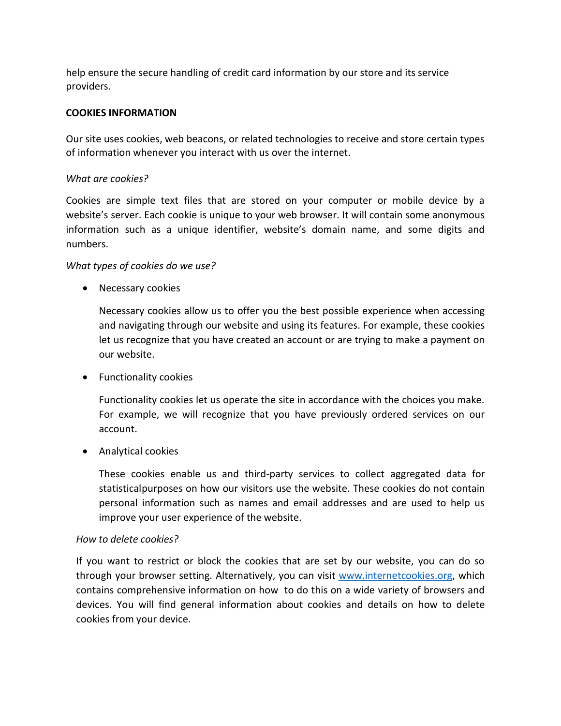help ensure the secure handling of credit card information by our store and its service providers.

# **COOKIES INFORMATION**

Our site uses cookies, web beacons, or related technologies to receive and store certain types of information whenever you interact with us over the internet.

# *What are cookies?*

Cookies are simple text files that are stored on your computer or mobile device by a website's server. Each cookie is unique to your web browser. It will contain some anonymous information such as a unique identifier, website's domain name, and some digits and numbers.

# *What types of cookies do we use?*

• Necessary cookies

Necessary cookies allow us to offer you the best possible experience when accessing and navigating through our website and using its features. For example, these cookies let us recognize that you have created an account or are trying to make a payment on our website.

• Functionality cookies

Functionality cookies let us operate the site in accordance with the choices you make. For example, we will recognize that you have previously ordered services on our account.

• Analytical cookies

These cookies enable us and third-party services to collect aggregated data for statisticalpurposes on how our visitors use the website. These cookies do not contain personal information such as names and email addresses and are used to help us improve your user experience of the website.

### *How to delete cookies?*

If you want to restrict or block the cookies that are set by our website, you can do so through your browser setting. Alternatively, you can visit [www.internetcookies.org,](http://www.internetcookies.org/) which contains comprehensive information on how to do this on a wide variety of browsers and devices. You will find general information about cookies and details on how to delete cookies from your device.